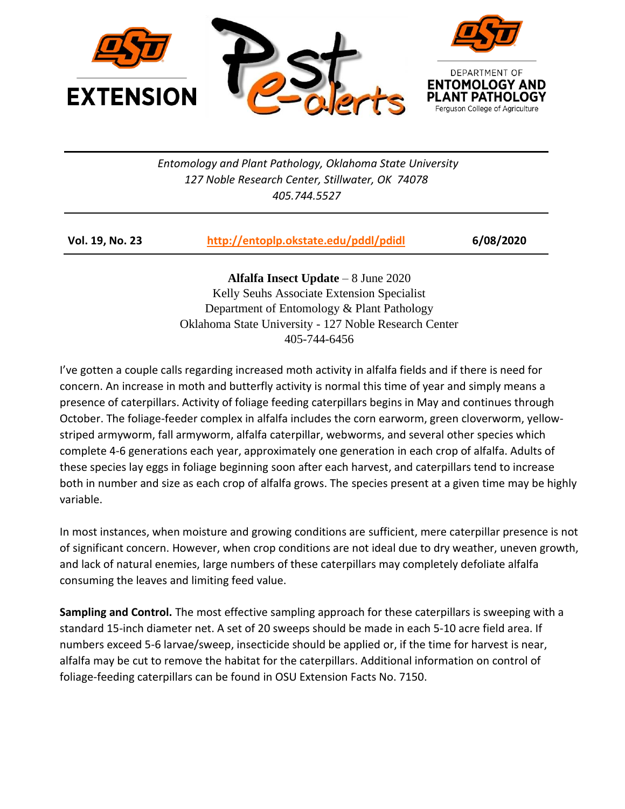

*Entomology and Plant Pathology, Oklahoma State University 127 Noble Research Center, Stillwater, OK 74078 405.744.5527*

| <b>Vol. 19, No. 23</b> | http://entoplp.okstate.edu/pddl/pdidl | 6/08/2020 |
|------------------------|---------------------------------------|-----------|
|                        |                                       |           |

**Alfalfa Insect Update** – 8 June 2020 Kelly Seuhs Associate Extension Specialist Department of Entomology & Plant Pathology Oklahoma State University - 127 Noble Research Center 405-744-6456

I've gotten a couple calls regarding increased moth activity in alfalfa fields and if there is need for concern. An increase in moth and butterfly activity is normal this time of year and simply means a presence of caterpillars. Activity of foliage feeding caterpillars begins in May and continues through October. The foliage-feeder complex in alfalfa includes the corn earworm, green cloverworm, yellowstriped armyworm, fall armyworm, alfalfa caterpillar, webworms, and several other species which complete 4-6 generations each year, approximately one generation in each crop of alfalfa. Adults of these species lay eggs in foliage beginning soon after each harvest, and caterpillars tend to increase both in number and size as each crop of alfalfa grows. The species present at a given time may be highly variable.

In most instances, when moisture and growing conditions are sufficient, mere caterpillar presence is not of significant concern. However, when crop conditions are not ideal due to dry weather, uneven growth, and lack of natural enemies, large numbers of these caterpillars may completely defoliate alfalfa consuming the leaves and limiting feed value.

**Sampling and Control.** The most effective sampling approach for these caterpillars is sweeping with a standard 15-inch diameter net. A set of 20 sweeps should be made in each 5-10 acre field area. If numbers exceed 5-6 larvae/sweep, insecticide should be applied or, if the time for harvest is near, alfalfa may be cut to remove the habitat for the caterpillars. Additional information on control of foliage-feeding caterpillars can be found in [OSU Extension Facts No. 7150.](http://pearl.agcomm.okstate.edu/plantsoil/crops/f-7150.pdf)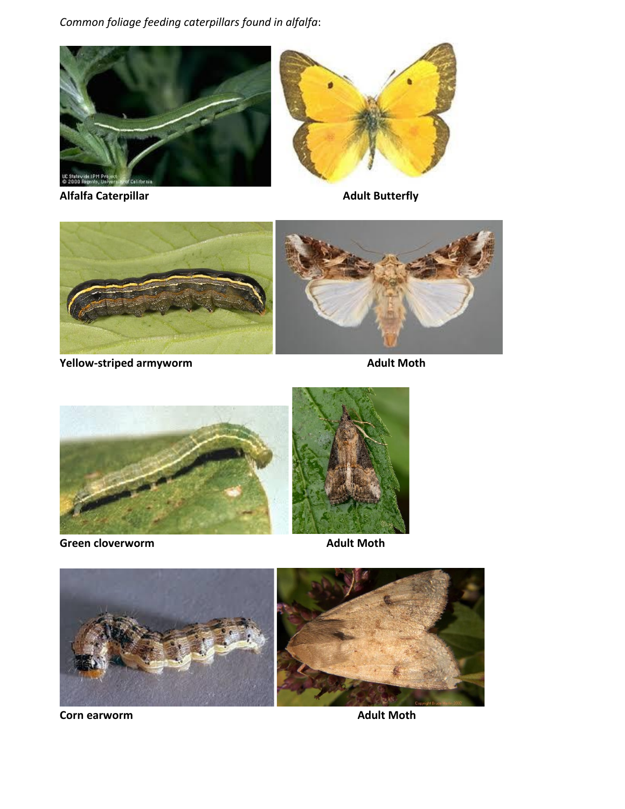*Common foliage feeding caterpillars found in alfalfa*:



**Alfalfa Caterpillar Adult Butterfly** 





**Yellow-striped armyworm Manufacture 2018 10 Adult Moth** 



**Green cloverworm and adult Moth** 





**Corn earworm Adult Moth**